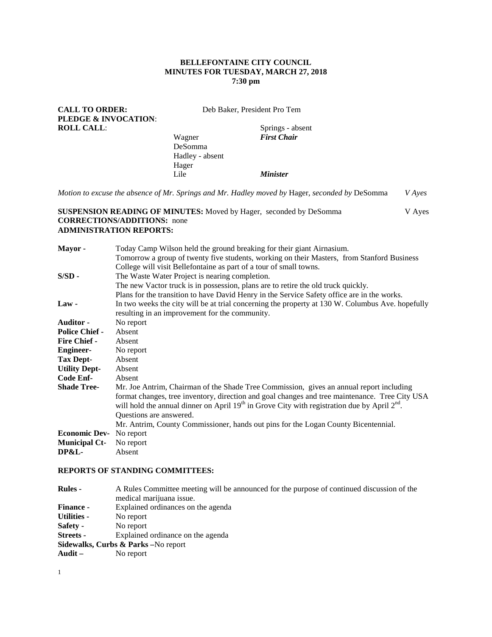# **BELLEFONTAINE CITY COUNCIL MINUTES FOR TUESDAY, MARCH 27, 2018 7:30 pm**

| <b>CALL TO ORDER:</b><br><b>PLEDGE &amp; INVOCATION:</b> |                                                                                                                                                                                                                                           | Deb Baker, President Pro Tem |  |                                                                                                                                                                                                                                                                                                                                                                                     |               |
|----------------------------------------------------------|-------------------------------------------------------------------------------------------------------------------------------------------------------------------------------------------------------------------------------------------|------------------------------|--|-------------------------------------------------------------------------------------------------------------------------------------------------------------------------------------------------------------------------------------------------------------------------------------------------------------------------------------------------------------------------------------|---------------|
| <b>ROLL CALL:</b>                                        |                                                                                                                                                                                                                                           |                              |  | Springs - absent                                                                                                                                                                                                                                                                                                                                                                    |               |
|                                                          |                                                                                                                                                                                                                                           | Wagner                       |  | <b>First Chair</b>                                                                                                                                                                                                                                                                                                                                                                  |               |
|                                                          |                                                                                                                                                                                                                                           | DeSomma                      |  |                                                                                                                                                                                                                                                                                                                                                                                     |               |
|                                                          |                                                                                                                                                                                                                                           | Hadley - absent              |  |                                                                                                                                                                                                                                                                                                                                                                                     |               |
|                                                          |                                                                                                                                                                                                                                           | Hager                        |  |                                                                                                                                                                                                                                                                                                                                                                                     |               |
|                                                          |                                                                                                                                                                                                                                           | Lile                         |  | <b>Minister</b>                                                                                                                                                                                                                                                                                                                                                                     |               |
|                                                          |                                                                                                                                                                                                                                           |                              |  | Motion to excuse the absence of Mr. Springs and Mr. Hadley moved by Hager, seconded by DeSomma                                                                                                                                                                                                                                                                                      | <b>V</b> Ayes |
|                                                          | <b>CORRECTIONS/ADDITIONS:</b> none<br><b>ADMINISTRATION REPORTS:</b>                                                                                                                                                                      |                              |  | <b>SUSPENSION READING OF MINUTES:</b> Moved by Hager, seconded by DeSomma                                                                                                                                                                                                                                                                                                           | V Ayes        |
| Mayor-                                                   | Today Camp Wilson held the ground breaking for their giant Airnasium.<br>Tomorrow a group of twenty five students, working on their Masters, from Stanford Business<br>College will visit Bellefontaine as part of a tour of small towns. |                              |  |                                                                                                                                                                                                                                                                                                                                                                                     |               |
| $S/SD$ -                                                 | The Waste Water Project is nearing completion.<br>The new Vactor truck is in possession, plans are to retire the old truck quickly.<br>Plans for the transition to have David Henry in the Service Safety office are in the works.        |                              |  |                                                                                                                                                                                                                                                                                                                                                                                     |               |
| $Law -$                                                  | In two weeks the city will be at trial concerning the property at 130 W. Columbus Ave. hopefully<br>resulting in an improvement for the community.                                                                                        |                              |  |                                                                                                                                                                                                                                                                                                                                                                                     |               |
| Auditor -                                                | No report                                                                                                                                                                                                                                 |                              |  |                                                                                                                                                                                                                                                                                                                                                                                     |               |
| <b>Police Chief -</b>                                    | Absent                                                                                                                                                                                                                                    |                              |  |                                                                                                                                                                                                                                                                                                                                                                                     |               |
| Fire Chief -                                             | Absent                                                                                                                                                                                                                                    |                              |  |                                                                                                                                                                                                                                                                                                                                                                                     |               |
| <b>Engineer-</b>                                         | No report                                                                                                                                                                                                                                 |                              |  |                                                                                                                                                                                                                                                                                                                                                                                     |               |
| <b>Tax Dept-</b>                                         | Absent                                                                                                                                                                                                                                    |                              |  |                                                                                                                                                                                                                                                                                                                                                                                     |               |
| <b>Utility Dept-</b>                                     | Absent                                                                                                                                                                                                                                    |                              |  |                                                                                                                                                                                                                                                                                                                                                                                     |               |
| <b>Code Enf-</b>                                         | Absent                                                                                                                                                                                                                                    |                              |  |                                                                                                                                                                                                                                                                                                                                                                                     |               |
| <b>Shade Tree-</b>                                       | Questions are answered.                                                                                                                                                                                                                   |                              |  | Mr. Joe Antrim, Chairman of the Shade Tree Commission, gives an annual report including<br>format changes, tree inventory, direction and goal changes and tree maintenance. Tree City USA<br>will hold the annual dinner on April $19th$ in Grove City with registration due by April $2nd$ .<br>Mr. Antrim, County Commissioner, hands out pins for the Logan County Bicentennial. |               |
| <b>Economic Dev-</b>                                     | No report                                                                                                                                                                                                                                 |                              |  |                                                                                                                                                                                                                                                                                                                                                                                     |               |
| <b>Municipal Ct-</b><br><b>DP&amp;L-</b>                 | No report<br>Absent                                                                                                                                                                                                                       |                              |  |                                                                                                                                                                                                                                                                                                                                                                                     |               |

# **REPORTS OF STANDING COMMITTEES:**

| <b>Rules</b> -                                             | A Rules Committee meeting will be announced for the purpose of continued discussion of the |
|------------------------------------------------------------|--------------------------------------------------------------------------------------------|
|                                                            | medical marijuana issue.                                                                   |
| <b>Finance -</b>                                           | Explained ordinances on the agenda                                                         |
| <b>Utilities -</b>                                         | No report                                                                                  |
| Safety -                                                   | No report                                                                                  |
| <b>Streets</b> -                                           | Explained ordinance on the agenda                                                          |
|                                                            | Sidewalks, Curbs & Parks - No report                                                       |
| $\mathbf{A} \mathbf{u} \mathbf{d} \mathbf{i} \mathbf{t}$ – | No report                                                                                  |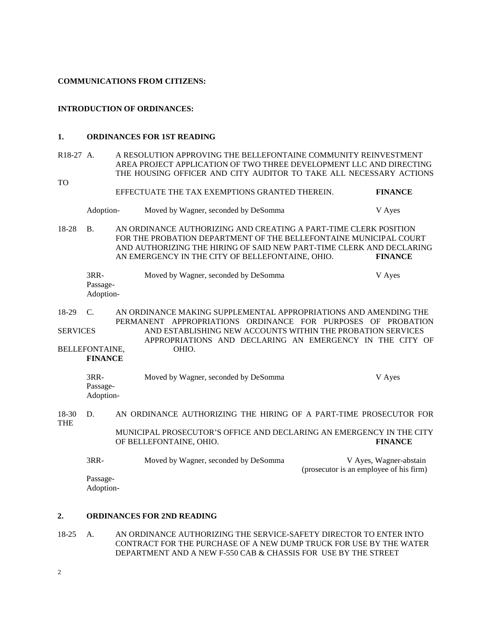#### **COMMUNICATIONS FROM CITIZENS:**

### **INTRODUCTION OF ORDINANCES:**

### **1. ORDINANCES FOR 1ST READING**

### R18-27 A. A RESOLUTION APPROVING THE BELLEFONTAINE COMMUNITY REINVESTMENT AREA PROJECT APPLICATION OF TWO THREE DEVELOPMENT LLC AND DIRECTING THE HOUSING OFFICER AND CITY AUDITOR TO TAKE ALL NECESSARY ACTIONS TO

EFFECTUATE THE TAX EXEMPTIONS GRANTED THEREIN. **FINANCE**

Adoption- Moved by Wagner, seconded by DeSomma V Ayes

18-28 B. AN ORDINANCE AUTHORIZING AND CREATING A PART-TIME CLERK POSITION FOR THE PROBATION DEPARTMENT OF THE BELLEFONTAINE MUNICIPAL COURT AND AUTHORIZING THE HIRING OF SAID NEW PART-TIME CLERK AND DECLARING AN EMERGENCY IN THE CITY OF BELLEFONTAINE, OHIO. **FINANCE**

| 3RR-      | Moved by Wagner, seconded by DeSomma | V Ayes |
|-----------|--------------------------------------|--------|
| Passage-  |                                      |        |
| Adoption- |                                      |        |

18-29 C. AN ORDINANCE MAKING SUPPLEMENTAL APPROPRIATIONS AND AMENDING THE PERMANENT APPROPRIATIONS ORDINANCE FOR PURPOSES OF PROBATION SERVICES AND ESTABLISHING NEW ACCOUNTS WITHIN THE PROBATION SERVICES APPROPRIATIONS AND DECLARING AN EMERGENCY IN THE CITY OF BELLEFONTAINE, OHIO.

**FINANCE**

| 3RR-      | Moved by Wagner, seconded by DeSomma | V Aves |
|-----------|--------------------------------------|--------|
| Passage-  |                                      |        |
| Adoption- |                                      |        |

### 18-30 D. AN ORDINANCE AUTHORIZING THE HIRING OF A PART-TIME PROSECUTOR FOR THE MUNICIPAL PROSECUTOR'S OFFICE AND DECLARING AN EMERGENCY IN THE CITY OF BELLEFONTAINE, OHIO. **FINANCE**

| $3RR-$   | Moved by Wagner, seconded by DeSomma | V Ayes, Wagner-abstain                  |
|----------|--------------------------------------|-----------------------------------------|
|          |                                      | (prosecutor is an employee of his firm) |
| Passage- |                                      |                                         |

Adoption-

### **2. ORDINANCES FOR 2ND READING**

18-25 A. AN ORDINANCE AUTHORIZING THE SERVICE-SAFETY DIRECTOR TO ENTER INTO CONTRACT FOR THE PURCHASE OF A NEW DUMP TRUCK FOR USE BY THE WATER DEPARTMENT AND A NEW F-550 CAB & CHASSIS FOR USE BY THE STREET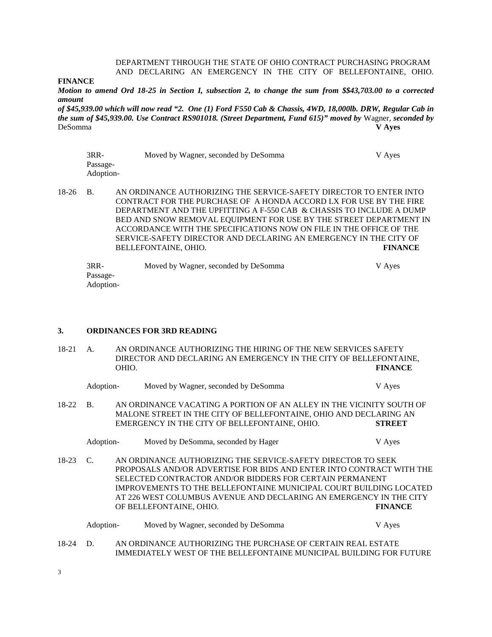### DEPARTMENT THROUGH THE STATE OF OHIO CONTRACT PURCHASING PROGRAM AND DECLARING AN EMERGENCY IN THE CITY OF BELLEFONTAINE, OHIO.

### **FINANCE**

*Motion to amend Ord 18-25 in Section I, subsection 2, to change the sum from \$\$43,703.00 to a corrected amount*

*of \$45,939.00 which will now read "2. One (1) Ford F550 Cab & Chassis, 4WD, 18,000lb. DRW, Regular Cab in the sum of \$45,939.00. Use Contract RS901018. (Street Department, Fund 615)" moved by* Wagner, *seconded by*  DeSomma **V Ayes**

| $3RR-$    | Moved by Wagner, seconded by DeSomma | V Aves |
|-----------|--------------------------------------|--------|
| Passage-  |                                      |        |
| Adoption- |                                      |        |

18-26 B. AN ORDINANCE AUTHORIZING THE SERVICE-SAFETY DIRECTOR TO ENTER INTO CONTRACT FOR THE PURCHASE OF A HONDA ACCORD LX FOR USE BY THE FIRE DEPARTMENT AND THE UPFITTING A F-550 CAB & CHASSIS TO INCLUDE A DUMP BED AND SNOW REMOVAL EQUIPMENT FOR USE BY THE STREET DEPARTMENT IN ACCORDANCE WITH THE SPECIFICATIONS NOW ON FILE IN THE OFFICE OF THE SERVICE-SAFETY DIRECTOR AND DECLARING AN EMERGENCY IN THE CITY OF BELLEFONTAINE, OHIO. **FINANCE**

| 3RR-      | Moved by Wagner, seconded by DeSomma | V Ayes |
|-----------|--------------------------------------|--------|
| Passage-  |                                      |        |
| Adoption- |                                      |        |

### **3. ORDINANCES FOR 3RD READING**

| 18-21   | AN ORDINANCE AUTHORIZING THE HIRING OF THE NEW SERVICES SAFETY<br>A.<br>DIRECTOR AND DECLARING AN EMERGENCY IN THE CITY OF BELLEFONTAINE,<br>OHIO. |  |                                                                                                                                                                                                                                                                                                                                                                         | <b>FINANCE</b> |  |  |
|---------|----------------------------------------------------------------------------------------------------------------------------------------------------|--|-------------------------------------------------------------------------------------------------------------------------------------------------------------------------------------------------------------------------------------------------------------------------------------------------------------------------------------------------------------------------|----------------|--|--|
|         | Adoption-                                                                                                                                          |  | Moved by Wagner, seconded by DeSomma                                                                                                                                                                                                                                                                                                                                    | V Ayes         |  |  |
| 18-22   | <b>B.</b>                                                                                                                                          |  | AN ORDINANCE VACATING A PORTION OF AN ALLEY IN THE VICINITY SOUTH OF<br>MALONE STREET IN THE CITY OF BELLEFONTAINE, OHIO AND DECLARING AN<br>EMERGENCY IN THE CITY OF BELLEFONTAINE, OHIO.                                                                                                                                                                              | <b>STREET</b>  |  |  |
|         | Adoption-                                                                                                                                          |  | Moved by DeSomma, seconded by Hager                                                                                                                                                                                                                                                                                                                                     | V Ayes         |  |  |
| $18-23$ | $\mathcal{C}$                                                                                                                                      |  | AN ORDINANCE AUTHORIZING THE SERVICE-SAFETY DIRECTOR TO SEEK<br>PROPOSALS AND/OR ADVERTISE FOR BIDS AND ENTER INTO CONTRACT WITH THE<br>SELECTED CONTRACTOR AND/OR BIDDERS FOR CERTAIN PERMANENT<br>IMPROVEMENTS TO THE BELLEFONTAINE MUNICIPAL COURT BUILDING LOCATED<br>AT 226 WEST COLUMBUS AVENUE AND DECLARING AN EMERGENCY IN THE CITY<br>OF BELLEFONTAINE, OHIO. | <b>FINANCE</b> |  |  |
|         | Adoption-                                                                                                                                          |  | Moved by Wagner, seconded by DeSomma                                                                                                                                                                                                                                                                                                                                    | V Ayes         |  |  |
| 18-24   | D.                                                                                                                                                 |  | AN ORDINANCE AUTHORIZING THE PURCHASE OF CERTAIN REAL ESTATE<br>IMMEDIATELY WEST OF THE BELLEFONTAINE MUNICIPAL BUILDING FOR FUTURE                                                                                                                                                                                                                                     |                |  |  |